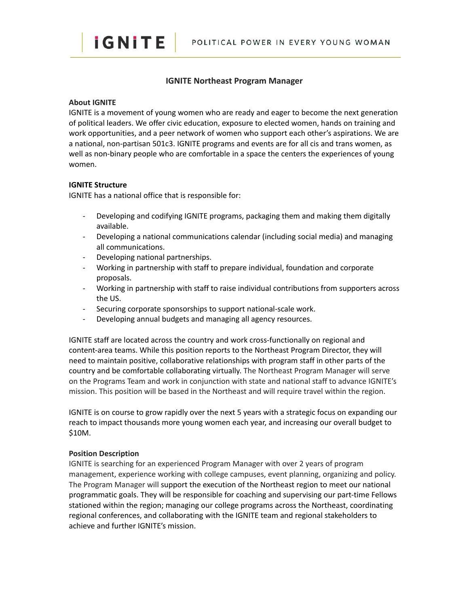

# **IGNITE Northeast Program Manager**

#### **About IGNITE**

**iGNITE** 

IGNITE is a movement of young women who are ready and eager to become the next generation of political leaders. We offer civic education, exposure to elected women, hands on training and work opportunities, and a peer network of women who support each other's aspirations. We are a national, non-partisan 501c3. IGNITE programs and events are for all cis and trans women, as well as non-binary people who are comfortable in a space the centers the experiences of young women.

## **IGNITE Structure**

IGNITE has a national office that is responsible for:

- Developing and codifying IGNITE programs, packaging them and making them digitally available.
- Developing a national communications calendar (including social media) and managing all communications.
- Developing national partnerships.
- Working in partnership with staff to prepare individual, foundation and corporate proposals.
- Working in partnership with staff to raise individual contributions from supporters across the US.
- Securing corporate sponsorships to support national-scale work.
- Developing annual budgets and managing all agency resources.

IGNITE staff are located across the country and work cross-functionally on regional and content-area teams. While this position reports to the Northeast Program Director, they will need to maintain positive, collaborative relationships with program staff in other parts of the country and be comfortable collaborating virtually. The Northeast Program Manager will serve on the Programs Team and work in conjunction with state and national staff to advance IGNITE's mission. This position will be based in the Northeast and will require travel within the region.

IGNITE is on course to grow rapidly over the next 5 years with a strategic focus on expanding our reach to impact thousands more young women each year, and increasing our overall budget to \$10M.

#### **Position Description**

IGNITE is searching for an experienced Program Manager with over 2 years of program management, experience working with college campuses, event planning, organizing and policy. The Program Manager will support the execution of the Northeast region to meet our national programmatic goals. They will be responsible for coaching and supervising our part-time Fellows stationed within the region; managing our college programs across the Northeast, coordinating regional conferences, and collaborating with the IGNITE team and regional stakeholders to achieve and further IGNITE's mission.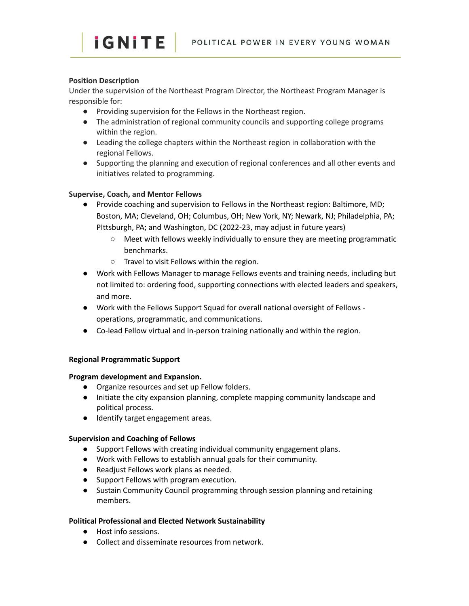# **Position Description**

Under the supervision of the Northeast Program Director, the Northeast Program Manager is responsible for:

- Providing supervision for the Fellows in the Northeast region.
- The administration of regional community councils and supporting college programs within the region.
- Leading the college chapters within the Northeast region in collaboration with the regional Fellows.
- Supporting the planning and execution of regional conferences and all other events and initiatives related to programming.

# **Supervise, Coach, and Mentor Fellows**

*iGNITE* 

- Provide coaching and supervision to Fellows in the Northeast region: Baltimore, MD; Boston, MA; Cleveland, OH; Columbus, OH; New York, NY; Newark, NJ; Philadelphia, PA; PIttsburgh, PA; and Washington, DC (2022-23, may adjust in future years)
	- Meet with fellows weekly individually to ensure they are meeting programmatic benchmarks.
	- Travel to visit Fellows within the region.
- Work with Fellows Manager to manage Fellows events and training needs, including but not limited to: ordering food, supporting connections with elected leaders and speakers, and more.
- Work with the Fellows Support Squad for overall national oversight of Fellows operations, programmatic, and communications.
- Co-lead Fellow virtual and in-person training nationally and within the region.

## **Regional Programmatic Support**

## **Program development and Expansion.**

- Organize resources and set up Fellow folders.
- Initiate the city expansion planning, complete mapping community landscape and political process.
- Identify target engagement areas.

# **Supervision and Coaching of Fellows**

- Support Fellows with creating individual community engagement plans.
- Work with Fellows to establish annual goals for their community.
- Readjust Fellows work plans as needed.
- Support Fellows with program execution.
- Sustain Community Council programming through session planning and retaining members.

## **Political Professional and Elected Network Sustainability**

- Host info sessions.
- Collect and disseminate resources from network.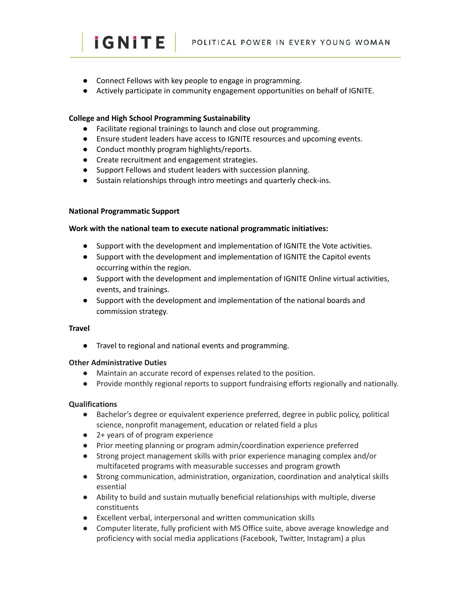- Connect Fellows with key people to engage in programming.
- Actively participate in community engagement opportunities on behalf of IGNITE.

# **College and High School Programming Sustainability**

- Facilitate regional trainings to launch and close out programming.
- Ensure student leaders have access to IGNITE resources and upcoming events.
- Conduct monthly program highlights/reports.
- Create recruitment and engagement strategies.
- Support Fellows and student leaders with succession planning.
- Sustain relationships through intro meetings and quarterly check-ins.

## **National Programmatic Support**

*iGNITE* 

#### **Work with the national team to execute national programmatic initiatives:**

- Support with the development and implementation of IGNITE the Vote activities.
- Support with the development and implementation of IGNITE the Capitol events occurring within the region.
- Support with the development and implementation of IGNITE Online virtual activities, events, and trainings.
- Support with the development and implementation of the national boards and commission strategy.

#### **Travel**

● Travel to regional and national events and programming.

## **Other Administrative Duties**

- Maintain an accurate record of expenses related to the position.
- Provide monthly regional reports to support fundraising efforts regionally and nationally.

## **Qualifications**

- Bachelor's degree or equivalent experience preferred, degree in public policy, political science, nonprofit management, education or related field a plus
- 2+ years of of program experience
- Prior meeting planning or program admin/coordination experience preferred
- Strong project management skills with prior experience managing complex and/or multifaceted programs with measurable successes and program growth
- Strong communication, administration, organization, coordination and analytical skills essential
- Ability to build and sustain mutually beneficial relationships with multiple, diverse constituents
- Excellent verbal, interpersonal and written communication skills
- Computer literate, fully proficient with MS Office suite, above average knowledge and proficiency with social media applications (Facebook, Twitter, Instagram) a plus